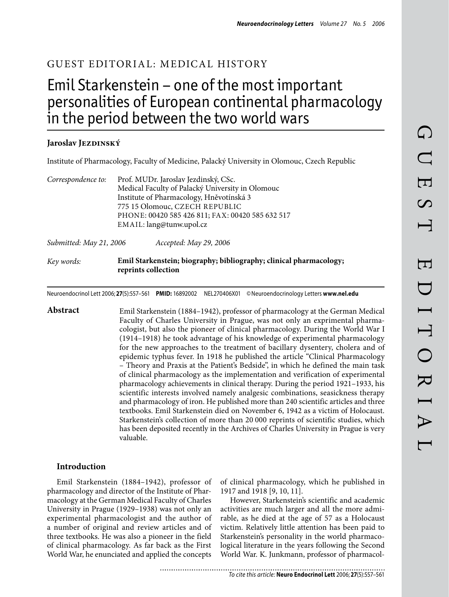# Guest Editorial: Medical History

# Emil Starkenstein – one of the most important personalities of European continental pharmacology in the period between the two world wars

## Jaroslav J**ezdinský**

Institute of Pharmacology, Faculty of Medicine, Palacký University in Olomouc, Czech Republic

| Correspondence to: | Prof. MUDr. Jaroslav Jezdinský, CSc.             |
|--------------------|--------------------------------------------------|
|                    | Medical Faculty of Palacký University in Olomouc |
|                    | Institute of Pharmacology, Hněvotínská 3         |
|                    | 775 15 Olomouc, CZECH REPUBLIC                   |
|                    | PHONE: 00420 585 426 811; FAX: 00420 585 632 517 |
|                    | EMAIL: lang@tunw.upol.cz                         |
|                    |                                                  |

*Submitted: May 21, 2006 Accepted: May 29, 2006*

#### *Key words:* **Emil Starkenstein; biography; bibliography; clinical pharmacology; reprints collection**

Neuroendocrinol Lett 2006; **27**(5):557–561 **PMID:** 16892002 NEL270406X01 ©Neuroendocrinology Letters **www.nel.edu**

**Abstract** Emil Starkenstein (1884–1942), professor of pharmacology at the German Medical Faculty of Charles University in Prague, was not only an exprimental pharmacologist, but also the pioneer of clinical pharmacology. During the World War I (1914–1918) he took advantage of his knowledge of experimental pharmacology for the new approaches to the treatment of bacillary dysentery, cholera and of epidemic typhus fever. In 1918 he published the article "Clinical Pharmacology – Theory and Praxis at the Patient's Bedside", in which he defined the main task of clinical pharmacology as the implementation and verification of experimental pharmacology achievements in clinical therapy. During the period 1921–1933, his scientific interests involved namely analgesic combinations, seasickness therapy and pharmacology of iron. He published more than 240 scientific articles and three textbooks. Emil Starkenstein died on November 6, 1942 as a victim of Holocaust. Starkenstein's collection of more than 20 000 reprints of scientific studies, which has been deposited recently in the Archives of Charles University in Prague is very valuable.

#### **Introduction**

Emil Starkenstein (1884–1942), professor of pharmacology and director of the Institute of Pharmacology at the German Medical Faculty of Charles University in Prague (1929–1938) was not only an experimental pharmacologist and the author of a number of original and review articles and of three textbooks. He was also a pioneer in the field of clinical pharmacology. As far back as the First World War, he enunciated and applied the concepts

of clinical pharmacology, which he published in 1917 and 1918 [9, 10, 11].

However, Starkenstein's scientific and academic activities are much larger and all the more admirable, as he died at the age of 57 as a Holocaust victim. Relatively little attention has been paid to Starkenstein's personality in the world pharmacological literature in the years following the Second World War. K. Junkmann, professor of pharmacol-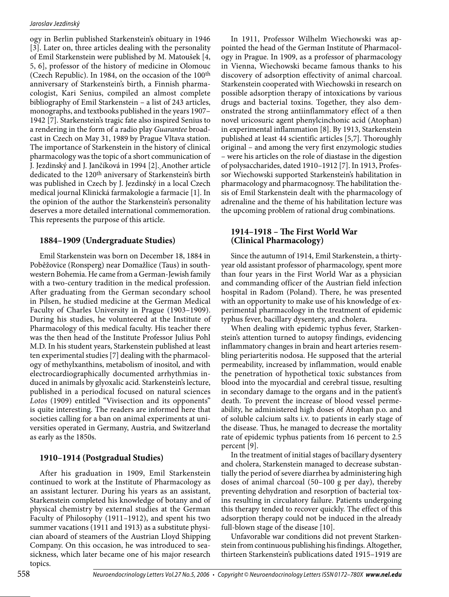ogy in Berlin published Starkenstein's obituary in 1946 [3]. Later on, three articles dealing with the personality of Emil Starkenstein were published by M. Matoušek [4, 5, 6], professor of the history of medicine in Olomouc (Czech Republic). In 1984, on the occasion of the 100th anniversary of Starkenstein's birth, a Finnish pharmacologist, Kari Senius, compiled an almost complete bibliography of Emil Starkenstein – a list of 243 articles, monographs, and textbooks published in the years 1907– 1942 [7]. Starkenstein's tragic fate also inspired Senius to a rendering in the form of a radio play *Guarantee* broadcast in Czech on May 31, 1989 by Prague Vltava station. The importance of Starkenstein in the history of clinical pharmacology was the topic of a short communication of J. Jezdinský and J. Jančíková in 1994 [2]. Another article dedicated to the 120<sup>th</sup> aniversary of Starkenstein's birth was published in Czech by J. Jezdinský in a local Czech medical journal Klinická farmakologie a farmacie [1]. In the opinion of the author the Starkenstein's personality deserves a more detailed international commemoration. This represents the purpose of this article.

## **1884–1909 (Undergraduate Studies)**

Emil Starkenstein was born on December 18, 1884 in Poběžovice (Ronsperg) near Domažlice (Taus) in southwestern Bohemia. He came from a German-Jewish family with a two-century tradition in the medical profession. After graduating from the German secondary school in Pilsen, he studied medicine at the German Medical Faculty of Charles University in Prague (1903–1909). During his studies, he volunteered at the Institute of Pharmacology of this medical faculty. His teacher there was the then head of the Institute Professor Julius Pohl M.D. In his student years, Starkenstein published at least ten experimental studies [7] dealing with the pharmacology of methylxanthins, metabolism of inositol, and with electrocardiographically documented arrhythmias induced in animals by glyoxalic acid. Starkenstein's lecture, published in a periodical focused on natural sciences *Lotos* (1909) entitled "Vivisection and its opponents" is quite interesting. The readers are informed here that societies calling for a ban on animal experiments at universities operated in Germany, Austria, and Switzerland as early as the 1850s.

## **1910–1914 (Postgradual Studies)**

After his graduation in 1909, Emil Starkenstein continued to work at the Institute of Pharmacology as an assistant lecturer. During his years as an assistant, Starkenstein completed his knowledge of botany and of physical chemistry by external studies at the German Faculty of Philosophy (1911–1912), and spent his two summer vacations (1911 and 1913) as a substitute physician aboard of steamers of the Austrian Lloyd Shipping Company. On this occasion, he was introduced to seasickness, which later became one of his major research topics.

In 1911, Professor Wilhelm Wiechowski was appointed the head of the German Institute of Pharmacology in Prague. In 1909, as a professor of pharmacology in Vienna, Wiechowski became famous thanks to his discovery of adsorption effectivity of animal charcoal. Starkenstein cooperated with Wiechowski in research on possible adsorption therapy of intoxications by various drugs and bacterial toxins. Together, they also demonstrated the strong antiinflammatory effect of a then novel uricosuric agent phenylcinchonic acid (Atophan) in experimental inflammation [8]. By 1913, Starkenstein published at least 44 scientific articles [5,7]. Thoroughly original – and among the very first enzymologic studies – were his articles on the role of diastase in the digestion of polysaccharides, dated 1910–1912 [7]. In 1913, Professor Wiechowski supported Starkenstein's habilitation in pharmacology and pharmacognosy. The habilitation thesis of Emil Starkenstein dealt with the pharmacology of adrenaline and the theme of his habilitation lecture was the upcoming problem of rational drug combinations.

#### **1914–1918 – The First World War (Clinical Pharmacology)**

Since the autumn of 1914, Emil Starkenstein, a thirtyyear old assistant professor of pharmacology, spent more than four years in the First World War as a physician and commanding officer of the Austrian field infection hospital in Radom (Poland). There, he was presented with an opportunity to make use of his knowledge of experimental pharmacology in the treatment of epidemic typhus fever, bacillary dysentery, and cholera.

When dealing with epidemic typhus fever, Starkenstein's attention turned to autopsy findings, evidencing inflammatory changes in brain and heart arteries resembling periarteritis nodosa. He supposed that the arterial permeability, increased by inflammation, would enable the penetration of hypothetical toxic substances from blood into the myocardial and cerebral tissue, resulting in secondary damage to the organs and in the patient's death. To prevent the increase of blood vessel permeability, he administered high doses of Atophan p.o. and of soluble calcium salts i.v. to patients in early stage of the disease. Thus, he managed to decrease the mortality rate of epidemic typhus patients from 16 percent to 2.5 percent [9].

In the treatment of initial stages of bacillary dysentery and cholera, Starkenstein managed to decrease substantially the period of severe diarrhea by administering high doses of animal charcoal (50–100 g per day), thereby preventing dehydration and resorption of bacterial toxins resulting in circulatory failure. Patients undergoing this therapy tended to recover quickly. The effect of this adsorption therapy could not be induced in the already full-blown stage of the disease [10].

Unfavorable war conditions did not prevent Starkenstein from continuous publishing his findings. Altogether, thirteen Starkenstein's publications dated 1915–1919 are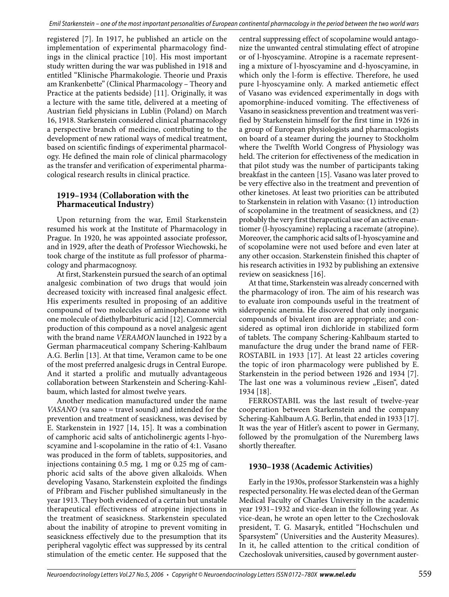registered [7]. In 1917, he published an article on the implementation of experimental pharmacology findings in the clinical practice [10]. His most important study written during the war was published in 1918 and entitled "Klinische Pharmakologie. Theorie und Praxis am Krankenbette" (Clinical Pharmacology – Theory and Practice at the patients bedside) [11]. Originally, it was a lecture with the same title, delivered at a meeting of Austrian field physicians in Lublin (Poland) on March 16, 1918. Starkenstein considered clinical pharmacology a perspective branch of medicine, contributing to the development of new rational ways of medical treatment, based on scientific findings of experimental pharmacology. He defined the main role of clinical pharmacology as the transfer and verification of experimental pharmacological research results in clinical practice.

## **1919–1934 (Collaboration with the Pharmaceutical Industry)**

Upon returning from the war, Emil Starkenstein resumed his work at the Institute of Pharmacology in Prague. In 1920, he was appointed associate professor, and in 1929, after the death of Professor Wiechowski, he took charge of the institute as full professor of pharmacology and pharmacognosy.

At first, Starkenstein pursued the search of an optimal analgesic combination of two drugs that would join decreased toxicity with increased final analgesic effect. His experiments resulted in proposing of an additive compound of two molecules of aminophenazone with one molecule of diethylbarbituric acid [12]. Commercial production of this compound as a novel analgesic agent with the brand name *VERAMON* launched in 1922 by a German pharmaceutical company Schering-Kahlbaum A.G. Berlin [13]. At that time, Veramon came to be one of the most preferred analgesic drugs in Central Europe. And it started a prolific and mutually advantageous collaboration between Starkenstein and Schering-Kahlbaum, which lasted for almost twelve years.

Another medication manufactured under the name *VASANO* (va sano = travel sound) and intended for the prevention and treatment of seasickness, was devised by E. Starkenstein in 1927 [14, 15]. It was a combination of camphoric acid salts of anticholinergic agents l-hyoscyamine and l-scopolamine in the ratio of 4:1. Vasano was produced in the form of tablets, suppositories, and injections containing 0.5 mg, 1 mg or 0.25 mg of camphoric acid salts of the above given alkaloids. When developing Vasano, Starkenstein exploited the findings of Příbram and Fischer published simultaneusly in the year 1913. They both evidenced of a certain but unstable therapeutical effectiveness of atropine injections in the treatment of seasickness. Starkenstein speculated about the inability of atropine to prevent vomiting in seasickness effectively due to the presumption that its peripheral vagolytic effect was suppressed by its central stimulation of the emetic center. He supposed that the

central suppressing effect of scopolamine would antagonize the unwanted central stimulating effect of atropine or of l-hyoscyamine. Atropine is a racemate representing a mixture of l-hyoscyamine and d-hyoscyamine, in which only the l-form is effective. Therefore, he used pure l-hyoscyamine only. A marked antiemetic effect of Vasano was evidenced experimentally in dogs with apomorphine-induced vomiting. The effectiveness of Vasano in seasickness prevention and treatment was verified by Starkenstein himself for the first time in 1926 in a group of European physiologists and pharmacologists on board of a steamer during the journey to Stockholm where the Twelfth World Congress of Physiology was held. The criterion for effectiveness of the medication in that pilot study was the number of participants taking breakfast in the canteen [15]. Vasano was later proved to be very effective also in the treatment and prevention of other kinetoses. At least two priorities can be attributed to Starkenstein in relation with Vasano: (1) introduction of scopolamine in the treatment of seasickness, and (2) probably the very first therapeutical use of an active enantiomer (l-hyoscyamine) replacing a racemate (atropine). Moreover, the camphoric acid salts of l-hyoscyamine and of scopolamine were not used before and even later at any other occasion. Starkenstein finished this chapter of his research activities in 1932 by publishing an extensive review on seasickness [16].

At that time, Starkenstein was already concerned with the pharmacology of iron. The aim of his research was to evaluate iron compounds useful in the treatment of sideropenic anemia. He discovered that only inorganic compounds of bivalent iron are appropriate; and considered as optimal iron dichloride in stabilized form of tablets. The company Schering-Kahlbaum started to manufacture the drug under the brand name of FER-ROSTABIL in 1933 [17]. At least 22 articles covering the topic of iron pharmacology were published by E. Starkenstein in the period between 1926 and 1934 [7]. The last one was a voluminous review "Eisen", dated 1934 [18].

FERROSTABIL was the last result of twelve-year cooperation between Starkenstein and the company Schering-Kahlbaum A.G. Berlin, that ended in 1933 [17]. It was the year of Hitler's ascent to power in Germany, followed by the promulgation of the Nuremberg laws shortly thereafter.

## **1930–1938 (Academic Activities)**

Early in the 1930s, professor Starkenstein was a highly respected personality. He was elected dean of the German Medical Faculty of Charles University in the academic year 1931–1932 and vice-dean in the following year. As vice-dean, he wrote an open letter to the Czechoslovak president, T. G. Masaryk, entitled "Hochschulen und Sparsystem" (Universities and the Austerity Measures). In it, he called attention to the critical condition of Czechoslovak universities, caused by government auster-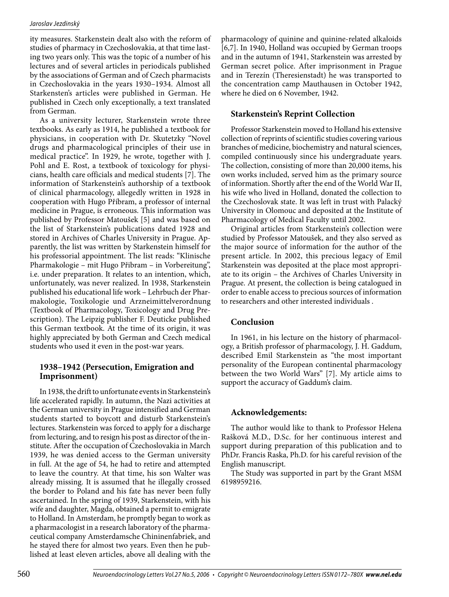#### *Jaroslav Jezdinský*

ity measures. Starkenstein dealt also with the reform of studies of pharmacy in Czechoslovakia, at that time lasting two years only. This was the topic of a number of his lectures and of several articles in periodicals published by the associations of German and of Czech pharmacists in Czechoslovakia in the years 1930–1934. Almost all Starkensten's articles were published in German. He published in Czech only exceptionally, a text translated from German.

As a university lecturer, Starkenstein wrote three textbooks. As early as 1914, he published a textbook for physicians, in cooperation with Dr. Skutetzky "Novel drugs and pharmacological principles of their use in medical practice". In 1929, he wrote, together with J. Pohl and E. Rost, a textbook of toxicology for physicians, health care officials and medical students [7]. The information of Starkenstein's authorship of a textbook of clinical pharmacology, allegedly written in 1928 in cooperation with Hugo Příbram, a professor of internal medicine in Prague, is erroneous. This information was published by Professor Matoušek [5] and was based on the list of Starkenstein's publications dated 1928 and stored in Archives of Charles University in Prague. Apparently, the list was written by Starkenstein himself for his professorial appointment. The list reads: "Klinische Pharmakologie – mit Hugo Přibram – in Vorbereitung", i.e. under preparation. It relates to an intention, which, unfortunately, was never realized. In 1938, Starkenstein published his educational life work – Lehrbuch der Pharmakologie, Toxikologie und Arzneimittelverordnung (Textbook of Pharmacology, Toxicology and Drug Prescription). The Leipzig publisher F. Deuticke published this German textbook. At the time of its origin, it was highly appreciated by both German and Czech medical students who used it even in the post-war years.

#### **1938–1942 (Persecution, Emigration and Imprisonment)**

In 1938, the drift to unfortunate events in Starkenstein's life accelerated rapidly. In autumn, the Nazi activities at the German university in Prague intensified and German students started to boycott and disturb Starkenstein's lectures. Starkenstein was forced to apply for a discharge from lecturing, and to resign his post as director of the institute. After the occupation of Czechoslovakia in March 1939, he was denied access to the German university in full. At the age of 54, he had to retire and attempted to leave the country. At that time, his son Walter was already missing. It is assumed that he illegally crossed the border to Poland and his fate has never been fully ascertained. In the spring of 1939, Starkenstein, with his wife and daughter, Magda, obtained a permit to emigrate to Holland. In Amsterdam, he promptly began to work as a pharmacologist in a research laboratory of the pharmaceutical company Amsterdamsche Chininenfabriek, and he stayed there for almost two years. Even then he published at least eleven articles, above all dealing with the pharmacology of quinine and quinine-related alkaloids [6,7]. In 1940, Holland was occupied by German troops and in the autumn of 1941, Starkenstein was arrested by German secret police. After imprisonment in Prague and in Terezín (Theresienstadt) he was transported to the concentration camp Mauthausen in October 1942, where he died on 6 November, 1942.

# **Starkenstein's Reprint Collection**

Professor Starkenstein moved to Holland his extensive collection of reprints of scientific studies covering various branches of medicine, biochemistry and natural sciences, compiled continuously since his undergraduate years. The collection, consisting of more than 20,000 items, his own works included, served him as the primary source of information. Shortly after the end of the World War II, his wife who lived in Holland, donated the collection to the Czechoslovak state. It was left in trust with Palacký University in Olomouc and deposited at the Institute of Pharmacology of Medical Faculty until 2002.

Original articles from Starkenstein's collection were studied by Professor Matoušek, and they also served as the major source of information for the author of the present article. In 2002, this precious legacy of Emil Starkenstein was deposited at the place most appropriate to its origin – the Archives of Charles University in Prague. At present, the collection is being catalogued in order to enable access to precious sources of information to researchers and other interested individuals .

## **Conclusion**

In 1961, in his lecture on the history of pharmacology, a British professor of pharmacology, J. H. Gaddum, described Emil Starkenstein as "the most important personality of the European continental pharmacology between the two World Wars" [7]. My article aims to support the accuracy of Gaddum's claim.

## **Acknowledgements:**

The author would like to thank to Professor Helena Rašková M.D., D.Sc. for her continuous interest and support during preparation of this publication and to PhDr. Francis Raska, Ph.D. for his careful revision of the English manuscript.

The Study was supported in part by the Grant MSM 6198959216.